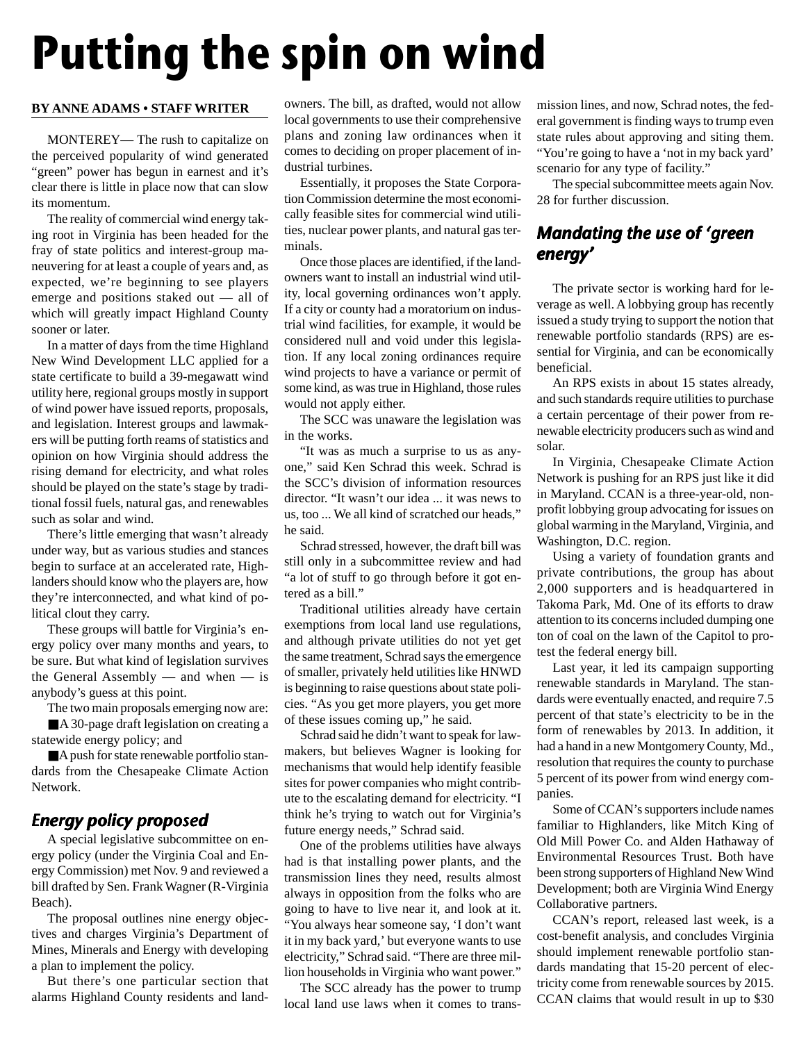# **Putting the spin on wind**

#### **BY ANNE ADAMS • STAFF WRITER**

MONTEREY— The rush to capitalize on the perceived popularity of wind generated "green" power has begun in earnest and it's clear there is little in place now that can slow its momentum.

The reality of commercial wind energy taking root in Virginia has been headed for the fray of state politics and interest-group maneuvering for at least a couple of years and, as expected, we're beginning to see players emerge and positions staked out — all of which will greatly impact Highland County sooner or later.

In a matter of days from the time Highland New Wind Development LLC applied for a state certificate to build a 39-megawatt wind utility here, regional groups mostly in support of wind power have issued reports, proposals, and legislation. Interest groups and lawmakers will be putting forth reams of statistics and opinion on how Virginia should address the rising demand for electricity, and what roles should be played on the state's stage by traditional fossil fuels, natural gas, and renewables such as solar and wind.

There's little emerging that wasn't already under way, but as various studies and stances begin to surface at an accelerated rate, Highlanders should know who the players are, how they're interconnected, and what kind of political clout they carry.

These groups will battle for Virginia's energy policy over many months and years, to be sure. But what kind of legislation survives the General Assembly — and when — is anybody's guess at this point.

The two main proposals emerging now are: ■ A 30-page draft legislation on creating a statewide energy policy; and

■A push for state renewable portfolio standards from the Chesapeake Climate Action Network.

## Energy policy proposed

A special legislative subcommittee on energy policy (under the Virginia Coal and Energy Commission) met Nov. 9 and reviewed a bill drafted by Sen. Frank Wagner (R-Virginia Beach).

The proposal outlines nine energy objectives and charges Virginia's Department of Mines, Minerals and Energy with developing a plan to implement the policy.

But there's one particular section that alarms Highland County residents and land-

owners. The bill, as drafted, would not allow local governments to use their comprehensive plans and zoning law ordinances when it comes to deciding on proper placement of industrial turbines.

Essentially, it proposes the State Corporation Commission determine the most economically feasible sites for commercial wind utilities, nuclear power plants, and natural gas terminals.

Once those places are identified, if the landowners want to install an industrial wind utility, local governing ordinances won't apply. If a city or county had a moratorium on industrial wind facilities, for example, it would be considered null and void under this legislation. If any local zoning ordinances require wind projects to have a variance or permit of some kind, as was true in Highland, those rules would not apply either.

The SCC was unaware the legislation was in the works.

"It was as much a surprise to us as anyone," said Ken Schrad this week. Schrad is the SCC's division of information resources director. "It wasn't our idea ... it was news to us, too ... We all kind of scratched our heads," he said.

Schrad stressed, however, the draft bill was still only in a subcommittee review and had "a lot of stuff to go through before it got entered as a bill."

Traditional utilities already have certain exemptions from local land use regulations, and although private utilities do not yet get the same treatment, Schrad says the emergence of smaller, privately held utilities like HNWD is beginning to raise questions about state policies. "As you get more players, you get more of these issues coming up," he said.

Schrad said he didn't want to speak for lawmakers, but believes Wagner is looking for mechanisms that would help identify feasible sites for power companies who might contribute to the escalating demand for electricity. "I think he's trying to watch out for Virginia's future energy needs," Schrad said.

One of the problems utilities have always had is that installing power plants, and the transmission lines they need, results almost always in opposition from the folks who are going to have to live near it, and look at it. "You always hear someone say, 'I don't want it in my back yard,' but everyone wants to use electricity," Schrad said. "There are three million households in Virginia who want power."

The SCC already has the power to trump local land use laws when it comes to transmission lines, and now, Schrad notes, the federal government is finding ways to trump even state rules about approving and siting them. "You're going to have a 'not in my back yard' scenario for any type of facility."

The special subcommittee meets again Nov. 28 for further discussion.

## Mandating the use of 'green energy'

The private sector is working hard for leverage as well. A lobbying group has recently issued a study trying to support the notion that renewable portfolio standards (RPS) are essential for Virginia, and can be economically beneficial.

An RPS exists in about 15 states already, and such standards require utilities to purchase a certain percentage of their power from renewable electricity producers such as wind and solar.

In Virginia, Chesapeake Climate Action Network is pushing for an RPS just like it did in Maryland. CCAN is a three-year-old, nonprofit lobbying group advocating for issues on global warming in the Maryland, Virginia, and Washington, D.C. region.

Using a variety of foundation grants and private contributions, the group has about 2,000 supporters and is headquartered in Takoma Park, Md. One of its efforts to draw attention to its concerns included dumping one ton of coal on the lawn of the Capitol to protest the federal energy bill.

Last year, it led its campaign supporting renewable standards in Maryland. The standards were eventually enacted, and require 7.5 percent of that state's electricity to be in the form of renewables by 2013. In addition, it had a hand in a new Montgomery County, Md., resolution that requires the county to purchase 5 percent of its power from wind energy companies.

Some of CCAN's supporters include names familiar to Highlanders, like Mitch King of Old Mill Power Co. and Alden Hathaway of Environmental Resources Trust. Both have been strong supporters of Highland New Wind Development; both are Virginia Wind Energy Collaborative partners.

CCAN's report, released last week, is a cost-benefit analysis, and concludes Virginia should implement renewable portfolio standards mandating that 15-20 percent of electricity come from renewable sources by 2015. CCAN claims that would result in up to \$30